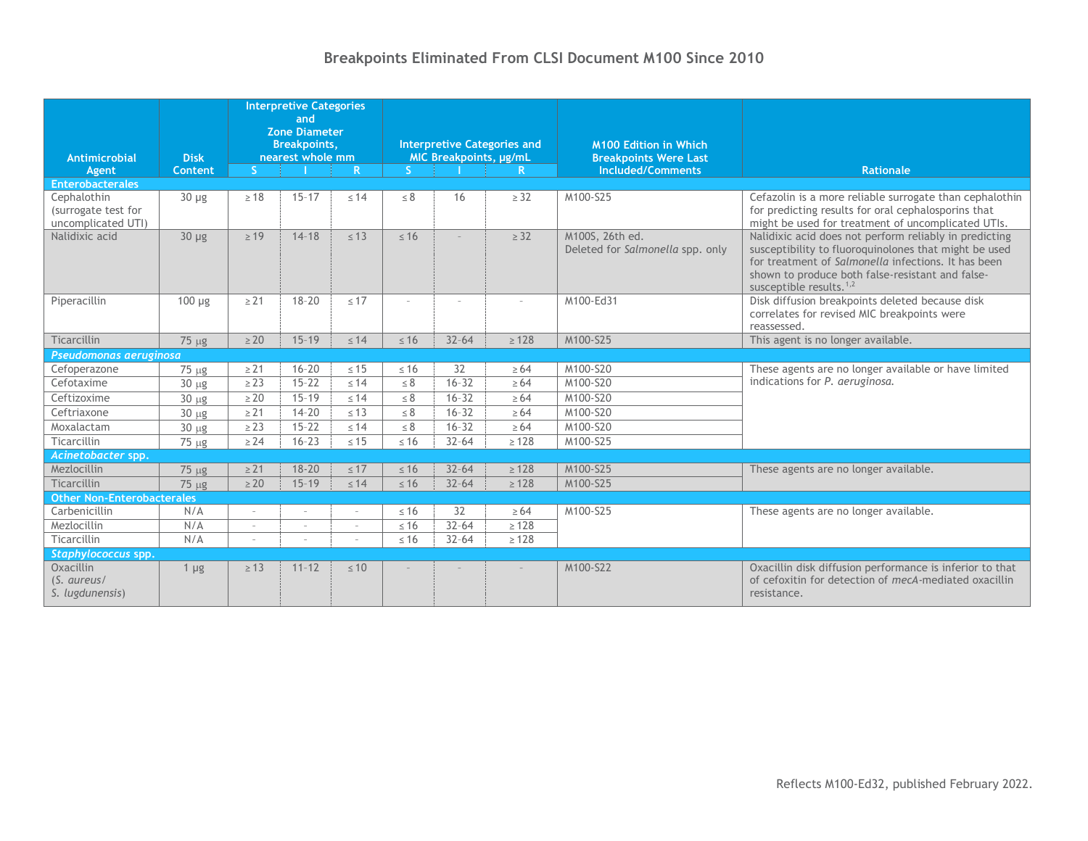# **Breakpoints Eliminated From CLSI Document M100 Since 2010**

| Antimicrobial                               | <b>Disk</b> | <b>Interpretive Categories</b><br>and<br><b>Zone Diameter</b><br><b>Breakpoints,</b><br>nearest whole mm |                        |                        | <b>Interpretive Categories and</b><br>MIC Breakpoints, µg/mL |                        |                          | <b>M100 Edition in Which</b><br><b>Breakpoints Were Last</b> |                                                                                                                                                                                                                                                          |
|---------------------------------------------|-------------|----------------------------------------------------------------------------------------------------------|------------------------|------------------------|--------------------------------------------------------------|------------------------|--------------------------|--------------------------------------------------------------|----------------------------------------------------------------------------------------------------------------------------------------------------------------------------------------------------------------------------------------------------------|
| Agent                                       | Content     | S.                                                                                                       |                        | $\mathbb{R}$           | S.                                                           |                        | $\mathbb{R}$             | Included/Comments                                            | Rationale                                                                                                                                                                                                                                                |
| <b>Enterobacterales</b><br>Cephalothin      | $30 \mu g$  | $\geq 18$                                                                                                | $15 - 17$              | $\leq 14$              | $\leq 8$                                                     | 16                     | $\geq$ 32                | M100-S25                                                     | Cefazolin is a more reliable surrogate than cephalothin                                                                                                                                                                                                  |
| (surrogate test for<br>uncomplicated UTI)   |             |                                                                                                          |                        |                        |                                                              |                        |                          |                                                              | for predicting results for oral cephalosporins that<br>might be used for treatment of uncomplicated UTIs.                                                                                                                                                |
| Nalidixic acid                              | $30 \mu g$  | $\geq 19$                                                                                                | $14 - 18$              | $\leq 13$              | $\leq 16$                                                    |                        | $\geq$ 32                | M100S, 26th ed.<br>Deleted for Salmonella spp. only          | Nalidixic acid does not perform reliably in predicting<br>susceptibility to fluoroquinolones that might be used<br>for treatment of Salmonella infections. It has been<br>shown to produce both false-resistant and false-<br>susceptible results. $1,2$ |
| Piperacillin                                | $100 \mu g$ | $\geq$ 21                                                                                                | $18 - 20$              | $\leq 17$              |                                                              | $\sim$                 | ÷,                       | M100-Ed31                                                    | Disk diffusion breakpoints deleted because disk<br>correlates for revised MIC breakpoints were<br>reassessed.                                                                                                                                            |
| Ticarcillin                                 | $75 \mu g$  | $\geq 20$                                                                                                | $15 - 19$              | $\leq 14$              | $\leq 16$                                                    | $32 - 64$              | $\geq 128$               | M100-S25                                                     | This agent is no longer available.                                                                                                                                                                                                                       |
| Pseudomonas aeruginosa                      |             |                                                                                                          |                        |                        |                                                              |                        |                          |                                                              |                                                                                                                                                                                                                                                          |
| Cefoperazone                                | $75 \mu g$  | $\geq$ 21                                                                                                | $16 - 20$              | $\leq 15$              | $\leq 16$                                                    | 32                     | $\geq 64$                | M100-S20                                                     | These agents are no longer available or have limited<br>indications for P. aeruginosa.                                                                                                                                                                   |
| Cefotaxime                                  | $30 \mu g$  | $\geq$ 23                                                                                                | $15 - 22$              | $\leq 14$              | $\leq 8$                                                     | $16 - 32$              | $\geq 64$                | M100-S20                                                     |                                                                                                                                                                                                                                                          |
| Ceftizoxime                                 | $30 \mu g$  | $\geq 20$                                                                                                | $15 - 19$              | $\leq 14$              | $\leq 8$                                                     | $16 - 32$              | $\geq 64$                | M100-S20                                                     |                                                                                                                                                                                                                                                          |
| Ceftriaxone                                 | $30 \mu g$  | $\geq$ 21                                                                                                | $14 - 20$              | $\leq 13$              | $\leq 8$                                                     | $16 - 32$              | $\geq 64$                | M100-S20                                                     |                                                                                                                                                                                                                                                          |
| Moxalactam                                  | $30 \mu g$  | $\geq$ 23                                                                                                | $15 - 22$              | $\leq 14$              | $\leq 8$                                                     | $16 - 32$              | $\geq 64$                | M100-S20                                                     |                                                                                                                                                                                                                                                          |
| Ticarcillin                                 | $75 \mu g$  | $\geq$ 24                                                                                                | $16 - 23$              | $\leq 15$              | $\leq 16$                                                    | $32 - 64$              | $\geq 128$               | M100-S25                                                     |                                                                                                                                                                                                                                                          |
| Acinetobacter spp.                          |             |                                                                                                          |                        |                        |                                                              |                        |                          |                                                              |                                                                                                                                                                                                                                                          |
| Mezlocillin<br>Ticarcillin                  | $75 \mu g$  | $\geq$ 21<br>$\geq 20$                                                                                   | $18 - 20$<br>$15 - 19$ | $\leq 17$<br>$\leq 14$ | $\leq 16$<br>$\leq 16$                                       | $32 - 64$<br>$32 - 64$ | $\geq 128$<br>$\geq 128$ | M100-S25<br>M100-S25                                         | These agents are no longer available.                                                                                                                                                                                                                    |
| <b>Other Non-Enterobacterales</b>           | 75 µg       |                                                                                                          |                        |                        |                                                              |                        |                          |                                                              |                                                                                                                                                                                                                                                          |
| Carbenicillin                               | N/A         |                                                                                                          |                        |                        | $\leq 16$                                                    | 32                     | $\geq 64$                | M100-S25                                                     | These agents are no longer available.                                                                                                                                                                                                                    |
| Mezlocillin                                 | N/A         |                                                                                                          | $\sim$                 |                        | $\leq 16$                                                    | $32 - 64$              | $\geq 128$               |                                                              |                                                                                                                                                                                                                                                          |
| Ticarcillin                                 | N/A         | $\sim$                                                                                                   | $\sim$                 |                        | $\leq 16$                                                    | $32 - 64$              | $\geq 128$               |                                                              |                                                                                                                                                                                                                                                          |
| Staphylococcus spp.                         |             |                                                                                                          |                        |                        |                                                              |                        |                          |                                                              |                                                                                                                                                                                                                                                          |
| Oxacillin<br>(S. aureus/<br>S. lugdunensis) | $1 \mu g$   | $\geq 13$                                                                                                | $11 - 12$              | $\leq 10$              |                                                              |                        |                          | M100-S22                                                     | Oxacillin disk diffusion performance is inferior to that<br>of cefoxitin for detection of mecA-mediated oxacillin<br>resistance.                                                                                                                         |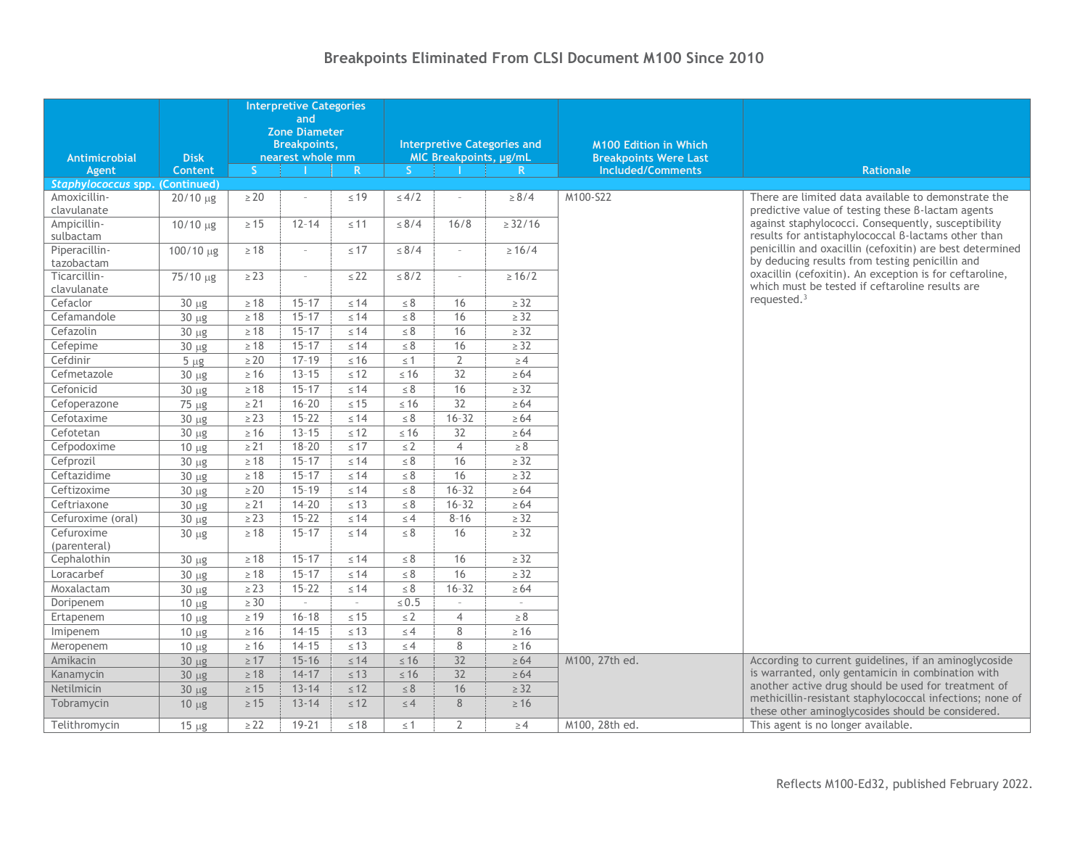#### **Antimicrobial Agent Disk Content Interpretive Categories and Zone Diameter Breakpoints, nearest whole mm Interpretive Categories and MIC Breakpoints, µg/mL M100 Edition in Which Breakpoints Were Last S I R S I R Included/Comments Rationale** *Staphylococcus* **spp. (Continued)** Amoxicillinclavulanate  $20/10 \mu g$   $\geq 20$  –  $\leq 19$   $\leq 4/2$  –  $\geq 8/4$  M100-S22 There are limited data available to demonstrate the predictive value of testing these β-lactam agents against staphylococci. Consequently, susceptibility results for antistaphylococcal β-lactams other than penicillin and oxacillin (cefoxitin) are best determined by deducing results from testing penicillin and oxacillin (cefoxitin). An exception is for ceftaroline, which must be tested if ceftaroline results are requested.<sup>3</sup> Ampicillinsulbactam 10/10  $\mu$ g ≥ 15 12-14 ≤ 11 ≤ 8/4 16/8 ≥ 32/16 Piperacillintazobactam  $100/10 \text{ µg}$   $\geq 18$  –  $\leq 17$   $\leq 8/4$  –  $\geq 16/4$ Ticarcillinclavulanate  $75/10 \text{ µg}$   $\geq 23$  –  $\leq 22$   $\leq 8/2$  –  $\geq 16/2$  $\text{Cefactor}$   $\begin{array}{|c|c|c|c|c|c|}\n\hline\n30 µg & \geq 18 & 15-17 & \leq 14 & \leq 8 & 16 & \geq 32\n\end{array}$ Cefamandole 30 µg  $\geq 18$  15–17  $\leq 14$   $\leq 8$  16  $\geq 32$  $\textsf{Cefazolin}$   $\begin{array}{|l|c|c|c|c|c|}\n\hline\n30 µg & \geq 18 & 15-17 & \leq 14 & \leq 8 & 16 & \geq 32\n\end{array}$  $\textsf{Cefepime}$   $\qquad \qquad \mid \quad 30 \text{ }\mu\text{g} \quad \mid \quad \text{≥}18 \quad \mid \quad 15\text{--}17 \quad \mid \quad \text{≤}14 \quad \mid \quad \text{≤}8 \quad \mid \quad \text{16} \quad \mid \quad \quad \text{≥}32$ Cefdinir 5 g ≥ 20 17–19 ≤ 16 ≤ 1 2 ≥ 4 Cefmetazole  $\begin{array}{|c|c|c|c|c|}\n\hline\n30 & \mu g &\geqslant 16 &\mid 13-15 &\leqslant 12 &\mid &\leqslant 16 &\mid & 32 &\mid &\geqslant 64\n\hline \end{array}$ Cefonicid  $\begin{array}{|c|c|c|c|c|c|}\n\hline\n30 \text{ µg} &\mbox{≥} 18 &\mbox{15--17} &\mbox{≤} 14 &\mbox{≤} 8 &\mbox{16} &\mbox{≥} 32\n\hline \end{array}$ Cefoperazone 75 µg  $\ge 21$  16–20 ≤ 15 ≤ 16 32 ≥ 64  $\textsf{Cefotaxime}$   $\textsf{30 }\mu\textsf{g}$   $\textsf{≥}\,23$   $\textsf{15-22}$   $\textsf{≤}\,44$   $\textsf{≤}\,8$   $\textsf{≤}\,16$ -32  $\textsf{≤}\,264$  $\text{Cefotetan}$   $\begin{array}{|c|c|c|c|c|c|}\n\hline\n30 µg & \geq 16 & 13-15 & \leq 12 & \leq 16 & 32 & \geq 64\n\end{array}$ Cefpodoxime 10 ug  $\geq 21$  18–20 ≤ 17  $\leq 2$  4 ≥ 8 Cefprozil 30 g ≥ 18 15–17 ≤ 14 ≤ 8 16 ≥ 32 Ceftazidime 30 g ≥ 18 15–17 ≤ 14 ≤ 8 16 ≥ 32  $\textsf{Cefitzoxime}$   $\begin{array}{|c|c|c|c|c|c|}\n\hline\n30 µg & & \geq 20 & 15-19 & \leq 14 & \leq 8 & 16-32 & \geq 64\n\hline\n\end{array}$ Ceftriaxone 30 g ≥ 21 14–20 ≤ 13 ≤ 8 16–32 ≥ 64 Cefuroxime (oral) 30 µg  $\ge 23$  15–22 ≤ 14 ≤ 4 8–16 ≥ 32 Cefuroxime (parenteral) 30 g ≥ 18 15–17 ≤ 14 ≤ 8 16 ≥ 32 Cephalothin 30 g  $\geq 18$  15–17  $\leq 14$   $\leq 8$  16  $\geq 32$ Loracarbef 30 g ≥ 18 15–17 ≤ 14 ≤ 8 16 ≥ 32 Moxalactam 30 g ≥ 23 15–22 ≤ 14 ≤ 8 16–32 ≥ 64 Doripenem  $\vert$  10 µg  $\vert$  ≥ 30  $\vert$  −  $\vert$  −  $\vert$  ≤ 0.5  $\vert$  −  $\vert$  − Ertapenem 10 g ≥ 19 16–18 ≤ 15 ≤ 2 4 ≥ 8 Imipenem | 10 µg | ≥16 14-15 | ≤13 | ≤4 8 ≥16 Meropenem 1  $10 \mu g$  ≥ 16 14-15 ≤ 13 ≤ 4 8 ≥ 16 Amikacin 30 g ≥ 17 15-16 ≤ 14 ≤ 16 32 ≥ 64 M100, 27th ed. According to current guidelines, if an aminoglycoside is warranted, only gentamicin in combination with another active drug should be used for treatment of methicillin-resistant staphylococcal infections; none of these other aminoglycosides should be considered. Kanamycin 30 µg ≥ 18 14-17 ≤ 13 ≤ 16 32 ≥ 64 Netilmicin | 30 µg | ≥15 | 13-14 | ≤12 | ≤8 | 16 | ≥32 Tobramycin 10 µg  $\ge 15$  13-14  $\le 12$   $\le 4$  8  $\ge 16$ Telithromycin 15 ug  $\geq 22$  19-21 ≤ 18 ≤ 1 2 ≥ 4 M100, 28th ed. This agent is no longer available.

## **Breakpoints Eliminated From CLSI Document M100 Since 2010**